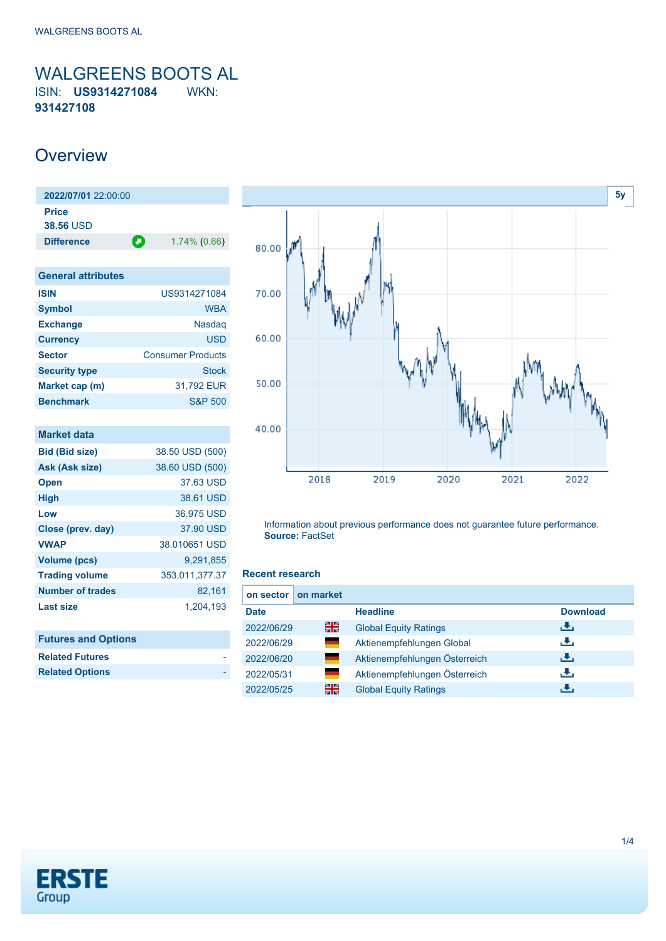<span id="page-0-0"></span>WALGREENS BOOTS AL ISIN: **US9314271084** WKN: **931427108**

### **Overview**

| $2022/07/01$ 22:00:00            |   |                 |
|----------------------------------|---|-----------------|
| <b>Price</b><br><b>38.56 USD</b> |   |                 |
|                                  |   |                 |
| <b>Difference</b>                | О | $1.74\%$ (0.66) |
|                                  |   |                 |

| <b>General attributes</b> |                          |
|---------------------------|--------------------------|
| <b>ISIN</b>               | US9314271084             |
| <b>Symbol</b>             | <b>WBA</b>               |
| <b>Exchange</b>           | <b>Nasdag</b>            |
| <b>Currency</b>           | <b>USD</b>               |
| <b>Sector</b>             | <b>Consumer Products</b> |
| <b>Security type</b>      | <b>Stock</b>             |
| Market cap (m)            | 31.792 EUR               |
| <b>Benchmark</b>          | <b>S&amp;P 500</b>       |

| Market data             |                 |
|-------------------------|-----------------|
| <b>Bid (Bid size)</b>   | 38.50 USD (500) |
| Ask (Ask size)          | 38.60 USD (500) |
| <b>Open</b>             | 37.63 USD       |
| <b>High</b>             | 38.61 USD       |
| Low                     | 36.975 USD      |
| Close (prev. day)       | 37.90 USD       |
| <b>VWAP</b>             | 38.010651 USD   |
| Volume (pcs)            | 9,291,855       |
| <b>Trading volume</b>   | 353,011,377.37  |
| <b>Number of trades</b> | 82,161          |
| Last size               | 1,204,193       |

| <b>Futures and Options</b> |  |
|----------------------------|--|
| <b>Related Futures</b>     |  |
| <b>Related Options</b>     |  |



Information about previous performance does not guarantee future performance. **Source:** FactSet

#### **Recent research**

| on sector   | on market |                               |                 |
|-------------|-----------|-------------------------------|-----------------|
| <b>Date</b> |           | <b>Headline</b>               | <b>Download</b> |
| 2022/06/29  | 을중        | <b>Global Equity Ratings</b>  | رالى            |
| 2022/06/29  |           | Aktienempfehlungen Global     | رنان            |
| 2022/06/20  |           | Aktienempfehlungen Österreich | رنان            |
| 2022/05/31  |           | Aktienempfehlungen Österreich | æ,              |
| 2022/05/25  | 픪ራ        | <b>Global Equity Ratings</b>  | æ,              |

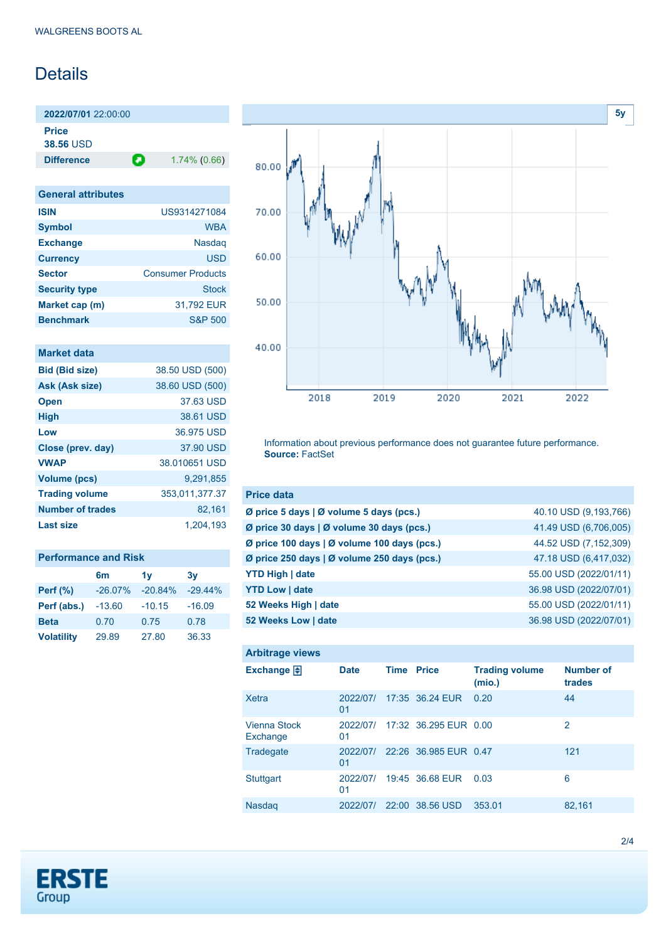## Details

**2022/07/01** 22:00:00 **Price**

**38.56** USD

**Difference 1.74% (0.66)** 

| <b>General attributes</b> |                          |
|---------------------------|--------------------------|
| <b>ISIN</b>               | US9314271084             |
| <b>Symbol</b>             | <b>WBA</b>               |
| <b>Exchange</b>           | <b>Nasdag</b>            |
| <b>Currency</b>           | <b>USD</b>               |
| <b>Sector</b>             | <b>Consumer Products</b> |
| <b>Security type</b>      | Stock                    |
| Market cap (m)            | 31,792 EUR               |
| <b>Benchmark</b>          | S&P 500                  |

| Market data             |                 |
|-------------------------|-----------------|
| <b>Bid (Bid size)</b>   | 38.50 USD (500) |
| Ask (Ask size)          | 38.60 USD (500) |
| <b>Open</b>             | 37.63 USD       |
| <b>High</b>             | 38.61 USD       |
| Low                     | 36.975 USD      |
| Close (prev. day)       | 37.90 USD       |
| <b>VWAP</b>             | 38.010651 USD   |
| <b>Volume (pcs)</b>     | 9,291,855       |
| <b>Trading volume</b>   | 353,011,377.37  |
| <b>Number of trades</b> | 82,161          |
| Last size               | 1,204,193       |

| <b>Performance and Risk</b> |            |                |           |  |
|-----------------------------|------------|----------------|-----------|--|
|                             | 6m         | 1 <sub>V</sub> | 3v        |  |
| <b>Perf (%)</b>             | $-26.07\%$ | $-20.84%$      | $-29.44%$ |  |
| Perf (abs.)                 | $-13.60$   | $-10.15$       | $-16.09$  |  |
| <b>Beta</b>                 | 0.70       | 0.75           | 0.78      |  |
| <b>Volatility</b>           | 29.89      | 27.80          | 36.33     |  |



Information about previous performance does not guarantee future performance. **Source:** FactSet

| <b>Price data</b>                             |                        |
|-----------------------------------------------|------------------------|
| Ø price 5 days $\vert$ Ø volume 5 days (pcs.) | 40.10 USD (9,193,766)  |
| Ø price 30 days   Ø volume 30 days (pcs.)     | 41.49 USD (6,706,005)  |
| Ø price 100 days   Ø volume 100 days (pcs.)   | 44.52 USD (7,152,309)  |
| Ø price 250 days   Ø volume 250 days (pcs.)   | 47.18 USD (6,417,032)  |
| <b>YTD High   date</b>                        | 55.00 USD (2022/01/11) |
| <b>YTD Low   date</b>                         | 36.98 USD (2022/07/01) |
| 52 Weeks High   date                          | 55.00 USD (2022/01/11) |
| 52 Weeks Low   date                           | 36.98 USD (2022/07/01) |

| <b>Arbitrage views</b>          |                |                   |                       |                                 |                            |
|---------------------------------|----------------|-------------------|-----------------------|---------------------------------|----------------------------|
| Exchange $\Box$                 | <b>Date</b>    | <b>Time Price</b> |                       | <b>Trading volume</b><br>(mio.) | <b>Number of</b><br>trades |
| Xetra                           | 2022/07/<br>01 |                   | 17:35 36.24 EUR       | 0.20                            | 44                         |
| <b>Vienna Stock</b><br>Exchange | 2022/07/<br>01 |                   | 17:32 36.295 EUR 0.00 |                                 | 2                          |
| Tradegate                       | 2022/07/<br>01 |                   | 22:26 36.985 EUR 0.47 |                                 | 121                        |
| <b>Stuttgart</b>                | 2022/07/<br>01 |                   | 19:45 36.68 EUR       | 0.03                            | 6                          |
| <b>Nasdag</b>                   | 2022/07/       | 22:00             | 38.56 USD             | 353.01                          | 82,161                     |

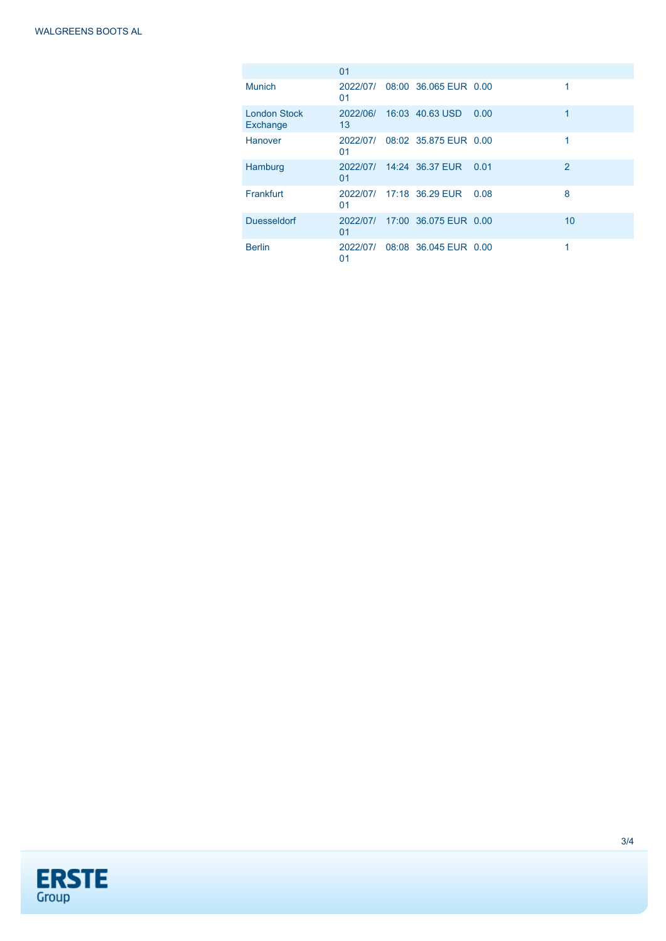|                                 | 01             |                       |      |                |
|---------------------------------|----------------|-----------------------|------|----------------|
| <b>Munich</b>                   | 2022/07/<br>01 | 08:00 36.065 EUR 0.00 |      | 1              |
| <b>London Stock</b><br>Exchange | 2022/06/<br>13 | 16:03 40.63 USD       | 0.00 | 1              |
| Hanover                         | 2022/07/<br>01 | 08:02 35.875 EUR 0.00 |      | 1              |
| Hamburg                         | 2022/07/<br>01 | 14:24 36.37 EUR       | 0.01 | $\overline{2}$ |
| Frankfurt                       | 2022/07/<br>01 | 17:18 36.29 EUR       | 0.08 | 8              |
| <b>Duesseldorf</b>              | 2022/07/<br>01 | 17:00 36.075 EUR 0.00 |      | 10             |
| <b>Berlin</b>                   | 2022/07/<br>01 | 08:08 36.045 EUR 0.00 |      | 1              |